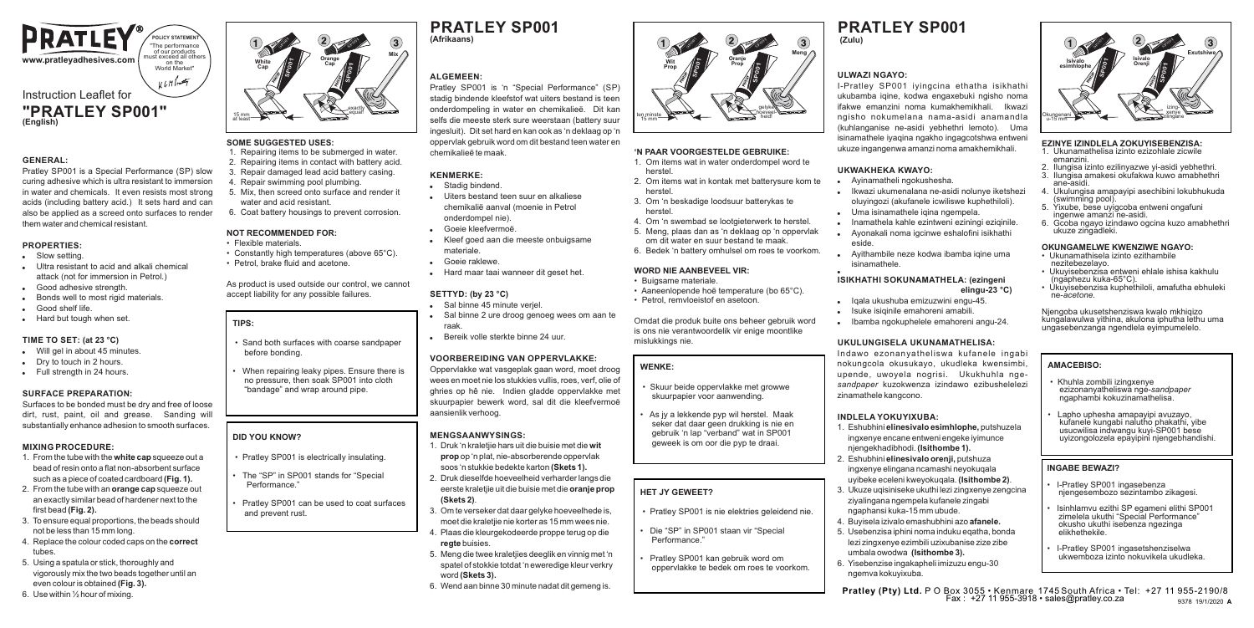

#### **GENERAL:**

Pratley SP001 is a Special Performance (SP) slow curing adhesive which is ultra resistant to immersion in water and chemicals. It even resists most strong acids (including battery acid.) It sets hard and can also be applied as a screed onto surfaces to render them water and chemical resistant.

#### **PROPERTIES:**

- . Slow setting.
- . Ultra resistant to acid and alkali chemical attack (not for immersion in Petrol.) Good adhesive strength
- Bonds well to most rigid materials.
- Good shelf life.
- . Hard but tough when set.

## **TIME TO SET: (at 23 °C)**

- Will gel in about 45 minutes.
- . Dry to touch in 2 hours.
- . Full strength in 24 hours.

## **SURFACE PREPARATION:**

Surfaces to be bonded must be dry and free of loose dirt, rust, paint, oil and grease. Sanding will substantially enhance adhesion to smooth surfaces.

### **MIXING PROCEDURE:**

- 1. From the tube with the **white cap** squeeze out a bead of resin onto a flat non-absorbent surface such as a piece of coated cardboard **(Fig. 1).**
- 2. From the tube with an **orange cap** squeeze out an exactly similar bead of hardener next to the first bead **(Fig. 2).**
- 3. To ensure equal proportions, the beads should not be less than 15 mm long.
- 4. Replace the colour coded caps on the **correct** tubes.
- 5. Using a spatula or stick, thoroughly and vigorously mix the two beads together until an even colour is obtained **(Fig. 3).**
- 6. Use within ½ hour of mixing.



## **SOME SUGGESTED USES:**

- 1. Repairing items to be submerged in water 2. Repairing items in contact with battery acid. 3. Repair damaged lead acid battery casing. 4. Repair swimming pool plumbing. 5. Mix, then screed onto surface and render it
- water and acid resistant.
- 6. Coat battery housings to prevent corrosion.

#### **NOT RECOMMENDED FOR:**

- Flexible materials. • Constantly high temperatures (above 65°C).
- Petrol, brake fluid and acetone.

As product is used outside our control, we cannot accept liability for any possible failures.

## **TIPS:**

 • Sand both surfaces with coarse sandpaper before bonding.

• When repairing leaky pipes. Ensure there is no pressure, then soak SP001 into cloth "bandage" and wrap around pipe.

#### **DID YOU KNOW?**

- Pratley SP001 is electrically insulating.
- The "SP" in SP001 stands for "Special Performance."

• Pratley SP001 can be used to coat surfaces and prevent rust.

## **PRATLEY SP001 (Afrikaans) (Zulu)**

## **ALGEMEEN:**

Pratley SP001 is 'n "Special Performance" (SP) stadig bindende kleefstof wat uiters bestand is teen onderdompeling in water en chemikalieë. Dit kan selfs die meeste sterk sure weerstaan (battery suur ingesluit). Dit set hard en kan ook as 'n deklaag op 'n oppervlak gebruik word om dit bestand teen water en chemikalieë te maak.

### **KENMERKE:**

- . Stadig bindend.
- ! Uiters bestand teen suur en alkaliese chemikalië aanval (moenie in Petrol onderdompel nie).
- Goeie kleefvermoë
- ! Kleef goed aan die meeste onbuigsame materiale.
- ! Goeie raklewe.
- . Hard maar taai wanneer dit geset het.

#### **SETTYD: (by 23 °C)**

- Sal binne 45 minute verjel.
- ! Sal binne 2 ure droog genoeg wees om aan te raak.
- ! Bereik volle sterkte binne 24 uur.

## **VOORBEREIDING VAN OPPERVLAKKE:**

Oppervlakke wat vasgeplak gaan word, moet droog wees en moet nie los stukkies vullis, roes, verf, olie of ghries op hê nie. Indien gladde oppervlakke met skuurpapier bewerk word, sal dit die kleefvermoë aansienlik verhoog.

#### **MENGSAANWYSINGS:**

- 1. Druk 'n kraletjie hars uit die buisie met die **wit prop** op 'n plat, nie-absorberende oppervlak soos 'n stukkie bedekte karton **(Skets 1).**
- 2. Druk dieselfde hoeveelheid verharder langs die eerste kraletjie uit die buisie met die **oranje prop (Skets 2)**.
- 3. Om te verseker dat daar gelyke hoeveelhede is, moet die kraletjie nie korter as 15 mm wees nie. 4. Plaas die kleurgekodeerde proppe terug op die
- **regte** buisies. 5. Meng die twee kraletjies deeglik en vinnig met 'n spatel of stokkie totdat 'n eweredige kleur verkry word **(Skets 3).**
- 6. Wend aan binne 30 minute nadat dit gemeng is.

# **PRATLEY SP001**

## **ULWAZI NGAYO:**

**'N PAAR VOORGESTELDE GEBRUIKE:** 1. Om items wat in water onderdompel word te

3. Om 'n beskadige loodsuur batterykas te

**WORD NIE AANBEVEEL VIR:** • Buigsame materiale.

4. Om 'n swembad se lootgieterwerk te herstel. 5. Meng, plaas dan as 'n deklaag op 'n oppervlak om dit water en suur bestand te maak. 6. Bedek 'n battery omhulsel om roes te voorkom.

• Aaneenlopende hoë temperature (bo 65°C). • Petrol, remvloeistof en asetoon.

 • Skuur beide oppervlakke met growwe skuurpapier voor aanwending. • As jy a lekkende pyp wil herstel. Maak seker dat daar geen drukking is nie en gebruik 'n lap "verband" wat in SP001 geweek is om oor die pyp te draai.

• Pratley SP001 is nie elektries geleidend nie. • Die "SP" in SP001 staan vir "Special

• Pratley SP001 kan gebruik word om oppervlakke te bedek om roes te voorkom.

Omdat die produk buite ons beheer gebruik word is ons nie verantwoordelik vir enige moontlike

2. Om items wat in kontak met batterysure kom te

**Oranje Prop**

> gelyke hoeveelheid!

Meng<sub>A</sub>

herstel.

ten minste 15 mm

**Wit Prop**

herstel

herstel.

mislukkings nie. **WENKE:**

**HET JY GEWEET?**

Performance."

I-Pratley SP001 iyingcina ethatha isikhathi ukubamba iqine, kodwa engaxebuki ngisho noma ifakwe emanzini noma kumakhemikhali. Ikwazi ngisho nokumelana nama-asidi anamandla (kuhlanganise ne-asidi yebhethri lemoto). Uma isinamathele iyaqina ngakho ingagcotshwa entweni ukuze ingangenwa amanzi noma amakhemikhali.

#### **UKWAKHEKA KWAYO:**

- ! Ayinamatheli ngokushesha.
- ! Ikwazi ukumenalana ne-asidi nolunye iketshezi oluyingozi (akufanele icwiliswe kuphethiloli).
- . Uma isinamathele igina ngempela.
- . Inamathela kahle ezintweni eziningi eziginile ! Ayonakali noma igcinwe eshalofini isikhathi
- eside. Ayithambile neze kodwa ibamba iqine uma isinamathele.

#### .<br>. **ISIKHATHI SOKUNAMATHELA: (ezingeni elingu-23 °C)**

- . Igala ukushuba emizuzwini engu-45.
- . Isuke isiginile emahoreni amabili.
- ! Ibamba ngokuphelele emahoreni angu-24.

#### **UKULUNGISELA UKUNAMATHELISA:**

Indawo ezonanyatheliswa kufanele ingabi nokungcola okusukayo, ukudleka kwensimbi, upende, uwoyela nogrisi. Ukukhuhla nge*sandpaper* kuzokwenza izindawo ezibushelelezi zinamathele kangcono.

#### **INDLELA YOKUYIXUBA:**

- 1. Eshubhini **elinesivalo esimhlophe,** putshuzela ingxenye encane entweni engeke iyimunce njengekhadibhodi. **(Isithombe 1).**
- 2. Eshubhini **elinesivalo orenji,** putshuza ingxenye elingana ncamashi neyokuqala uyibeke eceleni kweyokuqala. **(Isithombe 2)**.
- 3. Ukuze uqisiniseke ukuthi lezi zingxenye zengcina ziyalingana ngempela kufanele zingabi ngaphansi kuka-15 mm ubude.
- 4. Buyisela izivalo emashubhini azo **afanele.**
- 5. Usebenzisa iphini noma induku eqatha, bonda lezi zingxenye ezimbili uzixubanise zize zibe umbala owodwa **(Isithombe 3).**
- 6. Yisebenzise ingakapheli imizuzu engu-30 ngemva kokuyixuba.



#### **EZINYE IZINDLELA ZOKUYISEBENZISA:**

- 1. Ukunamathelisa izinto ezizohlale zicwile emanzini.
- 2. Ilungisa izinto ezilinyazwe yi-asidi yebhethri. 3. Ilungisa amakesi okufakwa kuwo amabhethri ane-asidi.
- 4. Ukulungisa amapayipi asechibini lokubhukuda (swimming pool).
- 5. Yixube, bese uyigcoba entweni ongafuni ingenwe amanzi ne-asidi.
- 6. Gcoba ngayo izindawo ogcina kuzo amabhethri ukuze zingadleki.

## **OKUNGAMELWE KWENZIWE NGAYO:**

- Ukunamathisela izinto ezithambile nezitebezelayo. • Ukuyisebenzisa entweni ehlale ishisa kakhulu
- (ngaphezu kuka-65°C).
- Ukuyisebenzisa kuphethiloli, amafutha ebhuleki ne-*acetone.*

Njengoba ukusetshenziswa kwalo mkhiqizo kungalawulwa yithina, akulona iphutha lethu uma ungasebenzanga ngendlela eyimpumelelo.

### **AMACEBISO:**

- Khuhla zombili izingxenye ezizonanyatheliswa nge-*sandpaper* ngaphambi kokuzinamathelisa.
- Lapho uphesha amapayipi avuzayo, kufanele kungabi nalutho phakathi, yibe usucwilisa indwangu kuyi-SP001 bese uyizongolozela epayipini njengebhandishi.

## **INGABE BEWAZI?**

**Pratley (Pty) Ltd.** P O Box 3055 • Kenmare 1745 South Africa • Tel: +27 11 955-2190/8 Fax : +27 11 955-3918 • sales@pratley.co.za

• I-Pratley SP001 ingasebenza njengesembozo sezintambo zikagesi.

• I-Pratley SP001 ingasetshenziselwa ukwemboza izinto nokuvikela ukudleka.

• Isinhlamvu ezithi SP egameni elithi SP001 zimelela ukuthi "Special Performance" okusho ukuthi isebenza ngezinga elikhethekile.

9378 19/1/2020 **A**